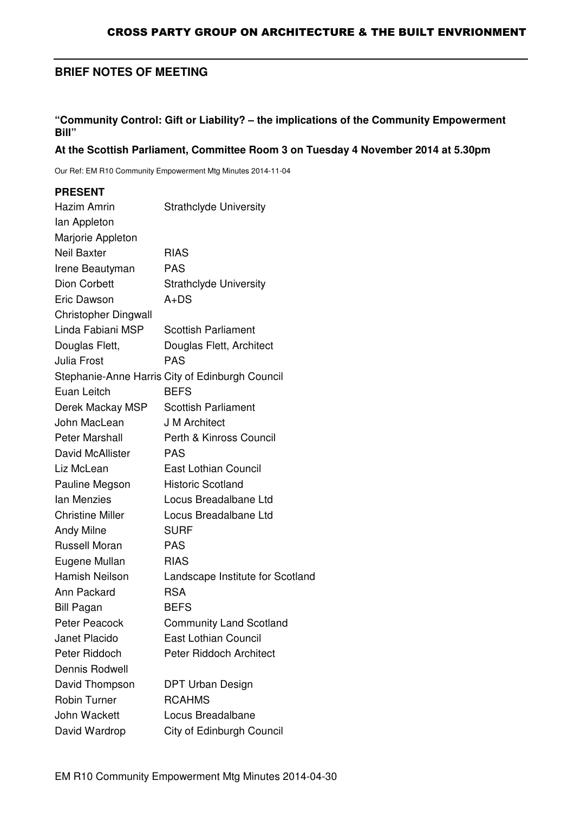# **BRIEF NOTES OF MEETING**

#### **"Community Control: Gift or Liability? – the implications of the Community Empowerment Bill"**

#### **At the Scottish Parliament, Committee Room 3 on Tuesday 4 November 2014 at 5.30pm**

Our Ref: EM R10 Community Empowerment Mtg Minutes 2014-11-04

#### **PRESENT**

| Hazim Amrin                 | <b>Strathclyde University</b>                   |
|-----------------------------|-------------------------------------------------|
| lan Appleton                |                                                 |
| Marjorie Appleton           |                                                 |
| <b>Neil Baxter</b>          | <b>RIAS</b>                                     |
| Irene Beautyman             | <b>PAS</b>                                      |
| <b>Dion Corbett</b>         | <b>Strathclyde University</b>                   |
| Eric Dawson                 | $A+DS$                                          |
| <b>Christopher Dingwall</b> |                                                 |
| Linda Fabiani MSP           | <b>Scottish Parliament</b>                      |
| Douglas Flett,              | Douglas Flett, Architect                        |
| <b>Julia Frost</b>          | <b>PAS</b>                                      |
|                             | Stephanie-Anne Harris City of Edinburgh Council |
| Euan Leitch                 | <b>BEFS</b>                                     |
| Derek Mackay MSP            | <b>Scottish Parliament</b>                      |
| John MacLean                | <b>J M Architect</b>                            |
| Peter Marshall              | Perth & Kinross Council                         |
| David McAllister            | <b>PAS</b>                                      |
| Liz McLean                  | East Lothian Council                            |
| Pauline Megson              | <b>Historic Scotland</b>                        |
| lan Menzies                 | Locus Breadalbane Ltd                           |
| <b>Christine Miller</b>     | Locus Breadalbane Ltd                           |
| <b>Andy Milne</b>           | <b>SURF</b>                                     |
| <b>Russell Moran</b>        | <b>PAS</b>                                      |
| Eugene Mullan               | <b>RIAS</b>                                     |
| Hamish Neilson              | Landscape Institute for Scotland                |
| Ann Packard                 | <b>RSA</b>                                      |
| <b>Bill Pagan</b>           | <b>BEFS</b>                                     |
| Peter Peacock               | <b>Community Land Scotland</b>                  |
| Janet Placido               | <b>East Lothian Council</b>                     |
| Peter Riddoch               | Peter Riddoch Architect                         |
| Dennis Rodwell              |                                                 |
| David Thompson              | <b>DPT Urban Design</b>                         |
| <b>Robin Turner</b>         | <b>RCAHMS</b>                                   |
| John Wackett                | Locus Breadalbane                               |
| David Wardrop               | City of Edinburgh Council                       |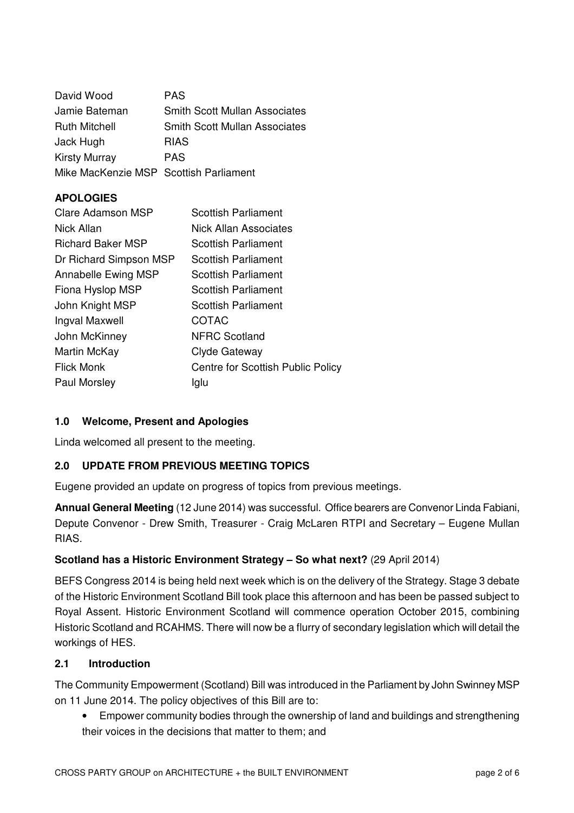| David Wood                             | <b>PAS</b>                           |
|----------------------------------------|--------------------------------------|
| Jamie Bateman                          | <b>Smith Scott Mullan Associates</b> |
| <b>Ruth Mitchell</b>                   | <b>Smith Scott Mullan Associates</b> |
| Jack Hugh                              | <b>RIAS</b>                          |
| <b>Kirsty Murray</b>                   | <b>PAS</b>                           |
| Mike MacKenzie MSP Scottish Parliament |                                      |

# **APOLOGIES**

| Clare Adamson MSP        | Scottish Parliament               |
|--------------------------|-----------------------------------|
| Nick Allan               | Nick Allan Associates             |
| <b>Richard Baker MSP</b> | Scottish Parliament               |
| Dr Richard Simpson MSP   | <b>Scottish Parliament</b>        |
| Annabelle Ewing MSP      | <b>Scottish Parliament</b>        |
| Fiona Hyslop MSP         | <b>Scottish Parliament</b>        |
| John Knight MSP          | <b>Scottish Parliament</b>        |
| Ingval Maxwell           | COTAC                             |
| John McKinney            | <b>NFRC Scotland</b>              |
| Martin McKay             | Clyde Gateway                     |
| <b>Flick Monk</b>        | Centre for Scottish Public Policy |
| Paul Morsley             | Iglu                              |

### **1.0 Welcome, Present and Apologies**

Linda welcomed all present to the meeting.

### **2.0 UPDATE FROM PREVIOUS MEETING TOPICS**

Eugene provided an update on progress of topics from previous meetings.

**Annual General Meeting** (12 June 2014) was successful. Office bearers are Convenor Linda Fabiani, Depute Convenor - Drew Smith, Treasurer - Craig McLaren RTPI and Secretary – Eugene Mullan RIAS.

### **Scotland has a Historic Environment Strategy – So what next?** (29 April 2014)

BEFS Congress 2014 is being held next week which is on the delivery of the Strategy. Stage 3 debate of the Historic Environment Scotland Bill took place this afternoon and has been be passed subject to Royal Assent. Historic Environment Scotland will commence operation October 2015, combining Historic Scotland and RCAHMS. There will now be a flurry of secondary legislation which will detail the workings of HES.

#### **2.1 Introduction**

The Community Empowerment (Scotland) Bill was introduced in the Parliament by John Swinney MSP on 11 June 2014. The policy objectives of this Bill are to:

• Empower community bodies through the ownership of land and buildings and strengthening their voices in the decisions that matter to them; and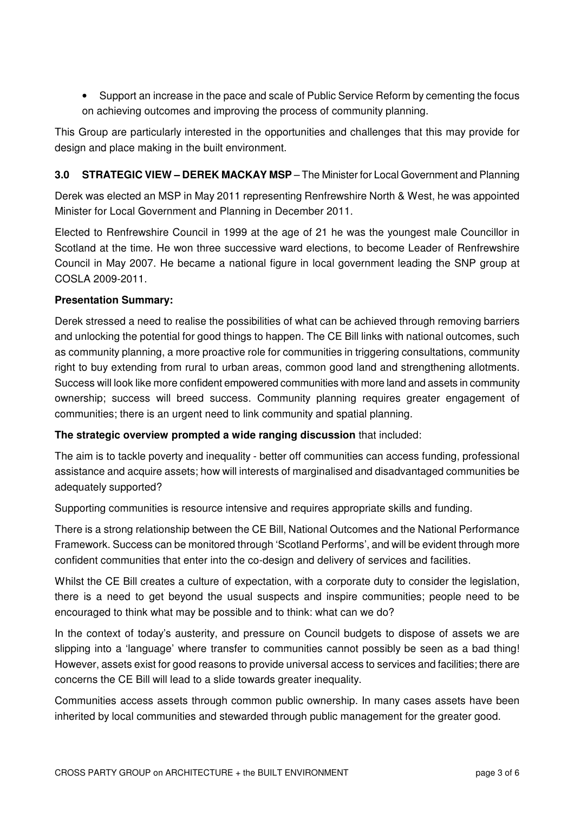• Support an increase in the pace and scale of Public Service Reform by cementing the focus on achieving outcomes and improving the process of community planning.

This Group are particularly interested in the opportunities and challenges that this may provide for design and place making in the built environment.

## **3.0 STRATEGIC VIEW – DEREK MACKAY MSP** – The Minister for Local Government and Planning

Derek was elected an MSP in May 2011 representing Renfrewshire North & West, he was appointed Minister for Local Government and Planning in December 2011.

Elected to Renfrewshire Council in 1999 at the age of 21 he was the youngest male Councillor in Scotland at the time. He won three successive ward elections, to become Leader of Renfrewshire Council in May 2007. He became a national figure in local government leading the SNP group at COSLA 2009-2011.

### **Presentation Summary:**

Derek stressed a need to realise the possibilities of what can be achieved through removing barriers and unlocking the potential for good things to happen. The CE Bill links with national outcomes, such as community planning, a more proactive role for communities in triggering consultations, community right to buy extending from rural to urban areas, common good land and strengthening allotments. Success will look like more confident empowered communities with more land and assets in community ownership; success will breed success. Community planning requires greater engagement of communities; there is an urgent need to link community and spatial planning.

**The strategic overview prompted a wide ranging discussion** that included:

The aim is to tackle poverty and inequality - better off communities can access funding, professional assistance and acquire assets; how will interests of marginalised and disadvantaged communities be adequately supported?

Supporting communities is resource intensive and requires appropriate skills and funding.

There is a strong relationship between the CE Bill, National Outcomes and the National Performance Framework. Success can be monitored through 'Scotland Performs', and will be evident through more confident communities that enter into the co-design and delivery of services and facilities.

Whilst the CE Bill creates a culture of expectation, with a corporate duty to consider the legislation, there is a need to get beyond the usual suspects and inspire communities; people need to be encouraged to think what may be possible and to think: what can we do?

In the context of today's austerity, and pressure on Council budgets to dispose of assets we are slipping into a 'language' where transfer to communities cannot possibly be seen as a bad thing! However, assets exist for good reasons to provide universal access to services and facilities; there are concerns the CE Bill will lead to a slide towards greater inequality.

Communities access assets through common public ownership. In many cases assets have been inherited by local communities and stewarded through public management for the greater good.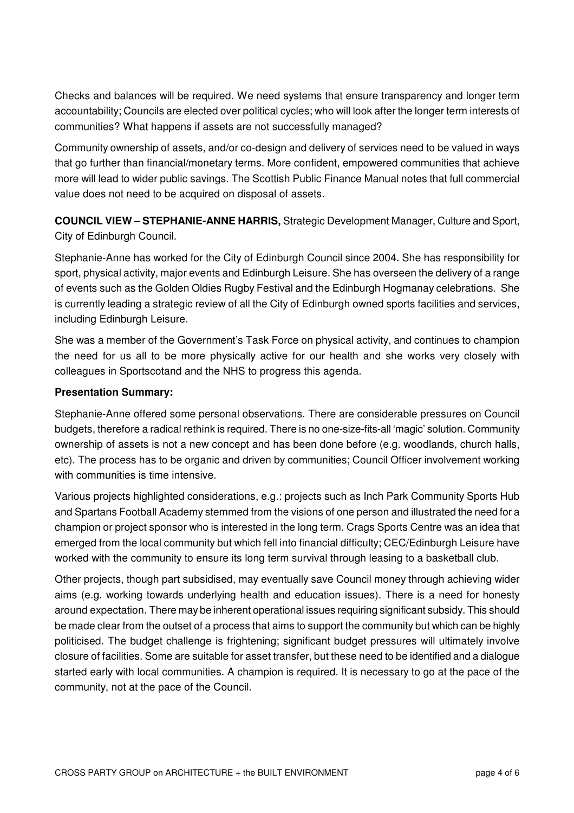Checks and balances will be required. We need systems that ensure transparency and longer term accountability; Councils are elected over political cycles; who will look after the longer term interests of communities? What happens if assets are not successfully managed?

Community ownership of assets, and/or co-design and delivery of services need to be valued in ways that go further than financial/monetary terms. More confident, empowered communities that achieve more will lead to wider public savings. The Scottish Public Finance Manual notes that full commercial value does not need to be acquired on disposal of assets.

**COUNCIL VIEW – STEPHANIE-ANNE HARRIS,** Strategic Development Manager, Culture and Sport, City of Edinburgh Council.

Stephanie-Anne has worked for the City of Edinburgh Council since 2004. She has responsibility for sport, physical activity, major events and Edinburgh Leisure. She has overseen the delivery of a range of events such as the Golden Oldies Rugby Festival and the Edinburgh Hogmanay celebrations. She is currently leading a strategic review of all the City of Edinburgh owned sports facilities and services, including Edinburgh Leisure.

She was a member of the Government's Task Force on physical activity, and continues to champion the need for us all to be more physically active for our health and she works very closely with colleagues in Sportscotand and the NHS to progress this agenda.

### **Presentation Summary:**

Stephanie-Anne offered some personal observations. There are considerable pressures on Council budgets, therefore a radical rethink is required. There is no one-size-fits-all 'magic' solution. Community ownership of assets is not a new concept and has been done before (e.g. woodlands, church halls, etc). The process has to be organic and driven by communities; Council Officer involvement working with communities is time intensive.

Various projects highlighted considerations, e.g.: projects such as Inch Park Community Sports Hub and Spartans Football Academy stemmed from the visions of one person and illustrated the need for a champion or project sponsor who is interested in the long term. Crags Sports Centre was an idea that emerged from the local community but which fell into financial difficulty; CEC/Edinburgh Leisure have worked with the community to ensure its long term survival through leasing to a basketball club.

Other projects, though part subsidised, may eventually save Council money through achieving wider aims (e.g. working towards underlying health and education issues). There is a need for honesty around expectation. There may be inherent operational issues requiring significant subsidy. This should be made clear from the outset of a process that aims to support the community but which can be highly politicised. The budget challenge is frightening; significant budget pressures will ultimately involve closure of facilities. Some are suitable for asset transfer, but these need to be identified and a dialogue started early with local communities. A champion is required. It is necessary to go at the pace of the community, not at the pace of the Council.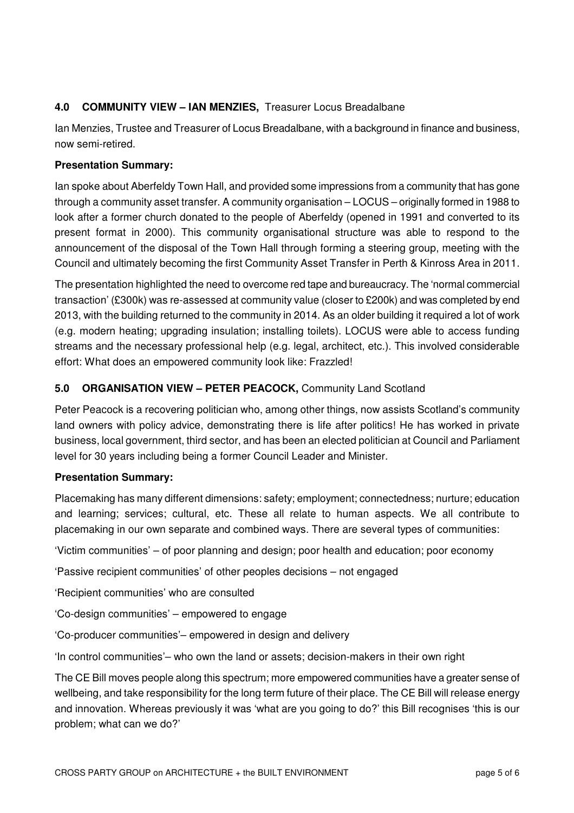# **4.0 COMMUNITY VIEW – IAN MENZIES,** Treasurer Locus Breadalbane

Ian Menzies, Trustee and Treasurer of Locus Breadalbane, with a background in finance and business, now semi-retired.

#### **Presentation Summary:**

Ian spoke about Aberfeldy Town Hall, and provided some impressions from a community that has gone through a community asset transfer. A community organisation – LOCUS – originally formed in 1988 to look after a former church donated to the people of Aberfeldy (opened in 1991 and converted to its present format in 2000). This community organisational structure was able to respond to the announcement of the disposal of the Town Hall through forming a steering group, meeting with the Council and ultimately becoming the first Community Asset Transfer in Perth & Kinross Area in 2011.

The presentation highlighted the need to overcome red tape and bureaucracy. The 'normal commercial transaction' (£300k) was re-assessed at community value (closer to £200k) and was completed by end 2013, with the building returned to the community in 2014. As an older building it required a lot of work (e.g. modern heating; upgrading insulation; installing toilets). LOCUS were able to access funding streams and the necessary professional help (e.g. legal, architect, etc.). This involved considerable effort: What does an empowered community look like: Frazzled!

### **5.0 ORGANISATION VIEW – PETER PEACOCK,** Community Land Scotland

Peter Peacock is a recovering politician who, among other things, now assists Scotland's community land owners with policy advice, demonstrating there is life after politics! He has worked in private business, local government, third sector, and has been an elected politician at Council and Parliament level for 30 years including being a former Council Leader and Minister.

### **Presentation Summary:**

Placemaking has many different dimensions: safety; employment; connectedness; nurture; education and learning; services; cultural, etc. These all relate to human aspects. We all contribute to placemaking in our own separate and combined ways. There are several types of communities:

'Victim communities' – of poor planning and design; poor health and education; poor economy

'Passive recipient communities' of other peoples decisions – not engaged

'Recipient communities' who are consulted

'Co-design communities' – empowered to engage

'Co-producer communities'– empowered in design and delivery

'In control communities'– who own the land or assets; decision-makers in their own right

The CE Bill moves people along this spectrum; more empowered communities have a greater sense of wellbeing, and take responsibility for the long term future of their place. The CE Bill will release energy and innovation. Whereas previously it was 'what are you going to do?' this Bill recognises 'this is our problem; what can we do?'